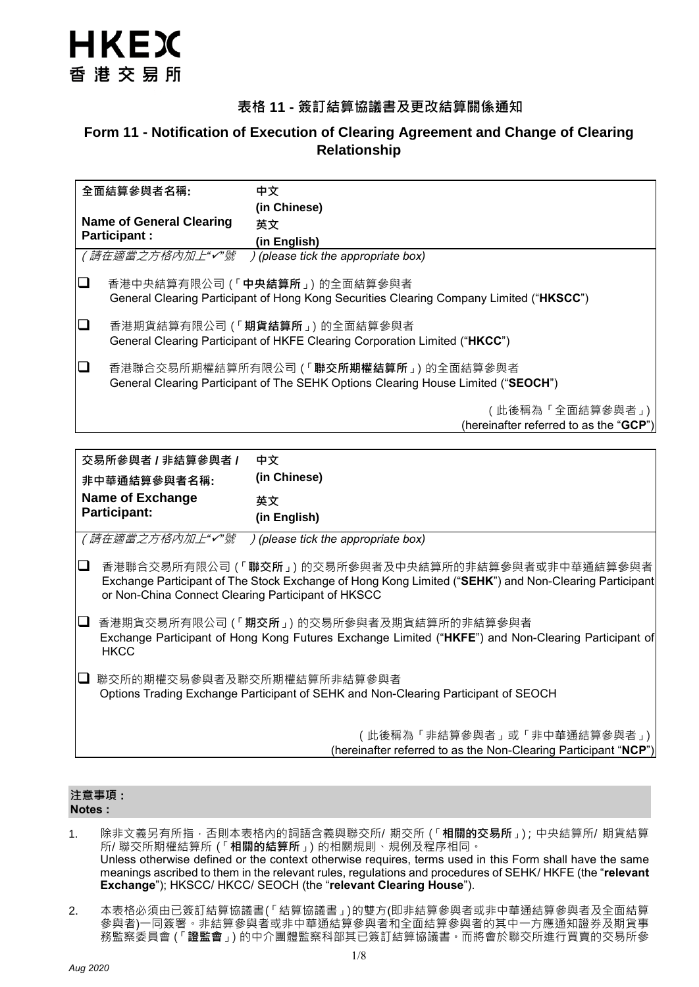

## **表格 11 - 簽訂結算協議書及更改結算關係通知**

# **Form 11 - Notification of Execution of Clearing Agreement and Change of Clearing Relationship**

| 全面結算參與者名稱: |                                                                                                                                      | 中文                                                                                                                                |
|------------|--------------------------------------------------------------------------------------------------------------------------------------|-----------------------------------------------------------------------------------------------------------------------------------|
|            |                                                                                                                                      | (in Chinese)                                                                                                                      |
|            | <b>Name of General Clearing</b>                                                                                                      | 英文                                                                                                                                |
|            | <b>Participant:</b>                                                                                                                  | (in English)                                                                                                                      |
|            | (請在適當之方格內加上"√"號                                                                                                                      | ) (please tick the appropriate box)                                                                                               |
| $\Box$     |                                                                                                                                      | 香港中央結算有限公司 (「 <b>中央結算所</b> 」) 的全面結算參與者<br>General Clearing Participant of Hong Kong Securities Clearing Company Limited ("HKSCC") |
| $\Box$     |                                                                                                                                      | 香港期貨結算有限公司 (「期貨結算所」) 的全面結算參與者<br>General Clearing Participant of HKFE Clearing Corporation Limited ("HKCC")                       |
| ❏          | 香港聯合交易所期權結算所有限公司 (「 <b>聯交所期權結算所</b> 」) 的全面結算參與者<br>General Clearing Participant of The SEHK Options Clearing House Limited ("SEOCH") |                                                                                                                                   |
|            |                                                                                                                                      | (此後稱為「全面結算參與者」)  <br>(hereinafter referred to as the "GCP")                                                                       |

| 交易所參與者 / 非結算參與者 /<br>非中華通結算參與者名稱:                  | 中文<br>(in Chinese)                                                                                                                                                   |
|----------------------------------------------------|----------------------------------------------------------------------------------------------------------------------------------------------------------------------|
| Name of Exchange<br><b>Participant:</b>            | 英文<br>(in English)                                                                                                                                                   |
| (請在適當之方格內加上"✔"號                                    | <i>f</i> (please tick the appropriate box)                                                                                                                           |
| or Non-China Connect Clearing Participant of HKSCC | 香港聯合交易所有限公司 (「聯 <b>交所</b> 」) 的交易所參與者及中央結算所的非結算參與者或非中華通結算參與者<br>Exchange Participant of The Stock Exchange of Hong Kong Limited ("SEHK") and Non-Clearing Participant |
| <b>HKCC</b>                                        | 香港期貨交易所有限公司 (「 <b>期交所</b> 」) 的交易所參與者及期貨結算所的非結算參與者<br>Exchange Participant of Hong Kong Futures Exchange Limited ("HKFE") and Non-Clearing Participant of             |
|                                                    | 聯交所的期權交易參與者及聯交所期權結算所非結算參與者<br>Options Trading Exchange Participant of SEHK and Non-Clearing Participant of SEOCH                                                     |
|                                                    | (此後稱為「非結算參與者」或「非中華通結算參與者」)<br>(hereinafter referred to as the Non-Clearing Participant "NCP")                                                                        |

#### **注意事項 : Notes :**

- 1. 除非文義另有所指,否則本表格內的詞語含義與聯交所/ 期交所(「**相關的交易所**」);中央結算所/ 期貨結算 所/ 聯交所期權結算所(「**相關的結算所**」)的相關規則、規例及程序相同。 Unless otherwise defined or the context otherwise requires, terms used in this Form shall have the same meanings ascribed to them in the relevant rules, regulations and procedures of SEHK/ HKFE (the "**relevant Exchange**"); HKSCC/ HKCC/ SEOCH (the "**relevant Clearing House**").
- 2. 本表格必須由已簽訂結算協議書(「結算協議書」)的雙方(即非結算參與者或非中華通結算參與者及全面結算 參與者)一同簽署。非結算參與者或非中華通結算參與者和全面結算參與者的其中一方應通知證券及期貨事 務監察委員會(「**證監會**」)的中介團體監察科部其已簽訂結算協議書。而將會於聯交所進行買賣的交易所參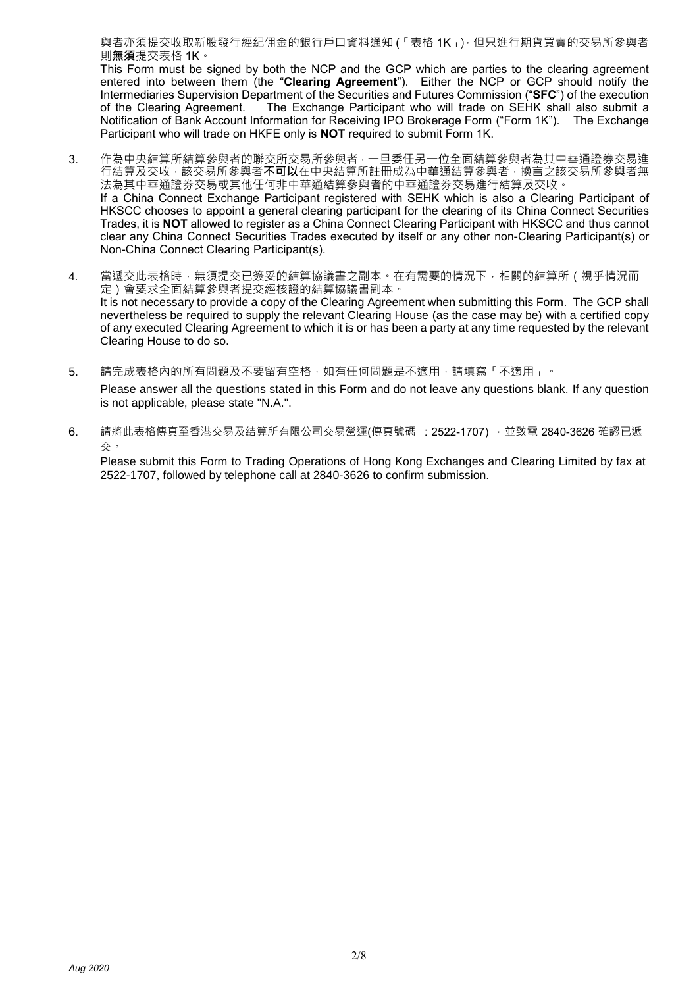與者亦須提交收取新股發行經紀佣金的銀行戶口資料通知 (「表格 1K」) · 但只進行期貨買賣的交易所參與者 則**無須**提交表格 1K。

This Form must be signed by both the NCP and the GCP which are parties to the clearing agreement entered into between them (the "**Clearing Agreement**"). Either the NCP or GCP should notify the Intermediaries Supervision Department of the Securities and Futures Commission ("**SFC**") of the execution The Exchange Participant who will trade on SEHK shall also submit a Notification of Bank Account Information for Receiving IPO Brokerage Form ("Form 1K"). The Exchange Participant who will trade on HKFE only is **NOT** required to submit Form 1K.

- 3. 作為中央結算所結算參與者的聯交所交易所參與者,一旦委任另一位全面結算參與者為其中華通證券交易進 行結算及交收,該交易所參與者**不可以**在中央結算所註冊成為中華通結算參與者,換言之該交易所參與者無 法為其中華通證券交易或其他任何非中華通結算參與者的中華通證券交易進行結算及交收。 If a China Connect Exchange Participant registered with SEHK which is also a Clearing Participant of HKSCC chooses to appoint a general clearing participant for the clearing of its China Connect Securities Trades, it is **NOT** allowed to register as a China Connect Clearing Participant with HKSCC and thus cannot clear any China Connect Securities Trades executed by itself or any other non-Clearing Participant(s) or Non-China Connect Clearing Participant(s).
- 4. 當遞交此表格時,無須提交已簽妥的結算協議書之副本。在有需要的情況下,相關的結算所 (視乎情況而 定)會要求全面結算參與者提交經核證的結算協議書副本。 It is not necessary to provide a copy of the Clearing Agreement when submitting this Form. The GCP shall nevertheless be required to supply the relevant Clearing House (as the case may be) with a certified copy of any executed Clearing Agreement to which it is or has been a party at any time requested by the relevant Clearing House to do so.
- 5. 請完成表格內的所有問題及不要留有空格,如有任何問題是不適用,請填寫「不適用」。 Please answer all the questions stated in this Form and do not leave any questions blank. If any question is not applicable, please state "N.A.".
- 6. 請將此表格傳真至香港交易及結算所有限公司交易營運(傳真號碼 :2522-1707) ,並致電 2840-3626 確認已遞 交。

Please submit this Form to Trading Operations of Hong Kong Exchanges and Clearing Limited by fax at 2522-1707, followed by telephone call at 2840-3626 to confirm submission.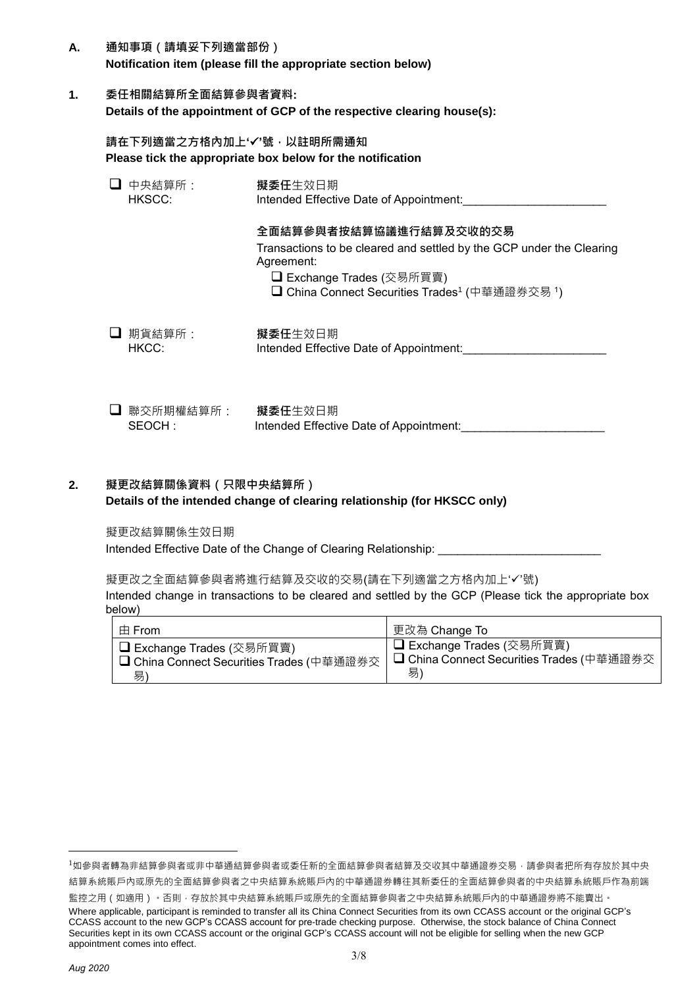- **A. 通知事項(請填妥下列適當部份) Notification item (please fill the appropriate section below)**
- **1. 委任相關結算所全面結算參與者資料: Details of the appointment of GCP of the respective clearing house(s):**

**請在下列適當之方格內加上''號,以註明所需通知 Please tick the appropriate box below for the notification**

| 中央結算所:<br>HKSCC:    | 擬委任生效日期<br>Intended Effective Date of Appointment:                                                                                                                                                                   |  |  |
|---------------------|----------------------------------------------------------------------------------------------------------------------------------------------------------------------------------------------------------------------|--|--|
|                     | 全面結算參與者按結算協議進行結算及交收的交易<br>Transactions to be cleared and settled by the GCP under the Clearing<br>Agreement:<br><b>□ Exchange Trades (交易所買賣)</b><br><b>□ China Connect Securities Trades<sup>1</sup> (中華通證券交易 1)</b> |  |  |
| 期貨結算所:<br>HKCC:     | 擬委任生效日期<br>Intended Effective Date of Appointment:                                                                                                                                                                   |  |  |
| 聯交所期權結算所:<br>SEOCH: | 擬委任生效日期<br>Intended Effective Date of Appointment:                                                                                                                                                                   |  |  |

### **2. 擬更改結算關係資料(只限中央結算所) Details of the intended change of clearing relationship (for HKSCC only)**

擬更改結算關係生效日期

Intended Effective Date of the Change of Clearing Relationship:

擬更改之全面結算參與者將進行結算及交收的交易(請在下列適當之方格內加上'√'號)

Intended change in transactions to be cleared and settled by the GCP (Please tick the appropriate box below)

| 由 From                                           | 更改為 Change To                                    |
|--------------------------------------------------|--------------------------------------------------|
| □ Exchange Trades (交易所買賣)                        | □ Exchange Trades (交易所買賣)                        |
| <b>□ China Connect Securities Trades (中華通證券交</b> | <b>□ China Connect Securities Trades (中華通證券交</b> |
| 易)                                               | 易                                                |

 $\overline{a}$ 

<sup>&</sup>lt;sup>1</sup>如參與者轉為非結算參與者或手等與者或委任新的全面結算參與者結算及交收其中華通證券交易,請參與者把所有存放於其中央 結算系統賬戶內或原先的全面結算參與者之中央結算系統賬戶內的中華通證券轉往其新委任的全面結算參與者的中央結算系統賬戶作為前端

監控之用 (如適用) · 否則 · 存放於其中央結算系統賬戶或原先的全面結算參與者之中央結算系統賬戶內的中華通證券將不能賣出 · Where applicable, participant is reminded to transfer all its China Connect Securities from its own CCASS account or the original GCP's CCASS account to the new GCP's CCASS account for pre-trade checking purpose. Otherwise, the stock balance of China Connect Securities kept in its own CCASS account or the original GCP's CCASS account will not be eligible for selling when the new GCP appointment comes into effect.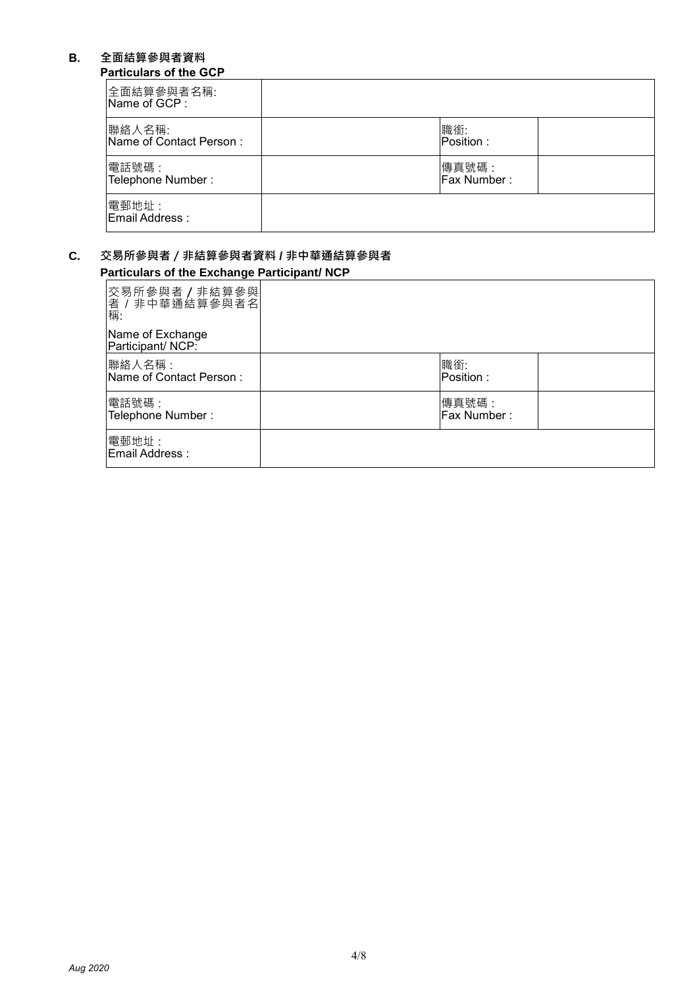## **B. 全面結算參與者資料**

## **Particulars of the GCP**

| 全面結算參與者名稱:<br>Name of GCP:        |                      |  |
|-----------------------------------|----------------------|--|
| 聯絡人名稱:<br>Name of Contact Person: | 職銜:<br>Position :    |  |
| 電話號碼:<br>Telephone Number:        | 傳真號碼:<br>Fax Number: |  |
| 電郵地址:<br><b>Email Address:</b>    |                      |  |

### **C. 交易所參與者/非結算參與者資料 / 非中華通結算參與者 Particulars of the Exchange Participant/ NCP**

| 交易所參與者 / 非結算參與<br>者 / 非中華通結算參與者名<br>稱: |                      |  |
|----------------------------------------|----------------------|--|
| Name of Exchange<br>Participant/NCP:   |                      |  |
| 聯絡人名稱:<br>Name of Contact Person:      | 職銜:<br>Position:     |  |
| 電話號碼:<br>Telephone Number:             | 傳真號碼:<br>Fax Number: |  |
| 電郵地址:<br>Email Address:                |                      |  |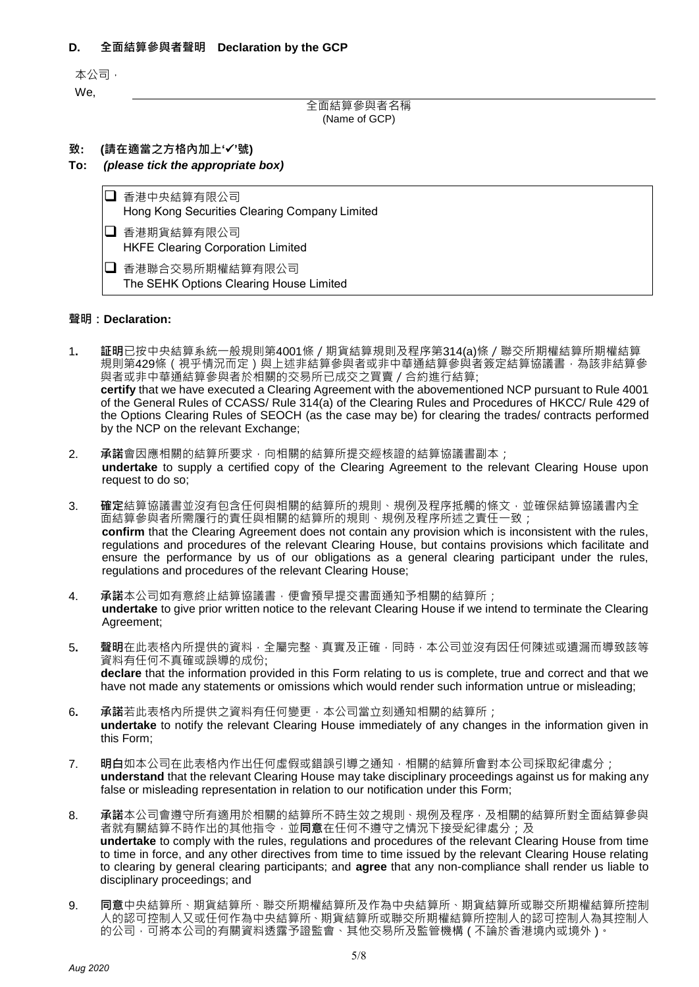### **D. 全面結算參與者聲明 Declaration by the GCP**

本公司,

We,

全面結算參與者名稱 (Name of GCP)

### **致: (請在適當之方格內加上''號)**

#### **To:** *(please tick the appropriate box)*

□ 香港中央結算有限公司 Hong Kong Securities Clearing Company Limited

■ 香港期貨結算有限公司 HKFE Clearing Corporation Limited

■ 香港聯合交易所期權結算有限公司 The SEHK Options Clearing House Limited

#### **聲明:Declaration:**

- 1**. 証明**已按中央結算系統一般規則第4001條/期貨結算規則及程序第314(a)條/聯交所期權結算所期權結算 規則第429條(視乎情況而定)與上述非結算參與者或非中華通結算參與者簽定結算協議書,為該非結算參 與者或非中華通結算參與者於相關的交易所已成交之買賣/合約進行結算; **certify** that we have executed a Clearing Agreement with the abovementioned NCP pursuant to Rule 4001 of the General Rules of CCASS/ Rule 314(a) of the Clearing Rules and Procedures of HKCC/ Rule 429 of the Options Clearing Rules of SEOCH (as the case may be) for clearing the trades/ contracts performed by the NCP on the relevant Exchange;
- 2. 承諾會因應相關的結算所要求,向相關的結算所提交經核證的結算協議書副本; **undertake** to supply a certified copy of the Clearing Agreement to the relevant Clearing House upon request to do so;
- 3. **確定**結算協議書並沒有包含任何與相關的結算所的規則、規例及程序抵觸的條文,並確保結算協議書內全 面結算參與者所需履行的責任與相關的結算所的規則、規例及程序所述之責任一致; **confirm** that the Clearing Agreement does not contain any provision which is inconsistent with the rules, regulations and procedures of the relevant Clearing House, but contains provisions which facilitate and ensure the performance by us of our obligations as a general clearing participant under the rules, regulations and procedures of the relevant Clearing House;
- 4. **承諾**本公司如有意終止結算協議書,便會預早提交書面通知予相關的結算所; **undertake** to give prior written notice to the relevant Clearing House if we intend to terminate the Clearing Agreement;
- 5**. 聲明**在此表格內所提供的資料,全屬完整、真實及正確,同時,本公司並沒有因任何陳述或遺漏而導致該等 資料有任何不真確或誤導的成份; **declare** that the information provided in this Form relating to us is complete, true and correct and that we have not made any statements or omissions which would render such information untrue or misleading;
- 6**. 承諾**若此表格內所提供之資料有任何變更,本公司當立刻通知相關的結算所; **undertake** to notify the relevant Clearing House immediately of any changes in the information given in this Form;
- 7. **明白**如本公司在此表格內作出任何虛假或錯誤引導之通知,相關的結算所會對本公司採取紀律處分; **understand** that the relevant Clearing House may take disciplinary proceedings against us for making any false or misleading representation in relation to our notification under this Form;
- 8. **承諾**本公司會遵守所有適用於相關的結算所不時生效之規則、規例及程序,及相關的結算所對全面結算參與 者就有關結算不時作出的其他指令,並**同意**在任何不遵守之情況下接受紀律處分;及 **undertake** to comply with the rules, regulations and procedures of the relevant Clearing House from time to time in force, and any other directives from time to time issued by the relevant Clearing House relating to clearing by general clearing participants; and **agree** that any non-compliance shall render us liable to disciplinary proceedings; and
- 9. **同意**中央結算所、期貨結算所、聯交所期權結算所及作為中央結算所、期貨結算所或聯交所期權結算所控制 人的認可控制人又或任何作為中央結算所、期貨結算所或聯交所期權結算所控制人的認可控制人為其控制人 的公司,可將本公司的有關資料透露予證監會、其他交易所及監管機構 ( 不論於香港境內或境外 )。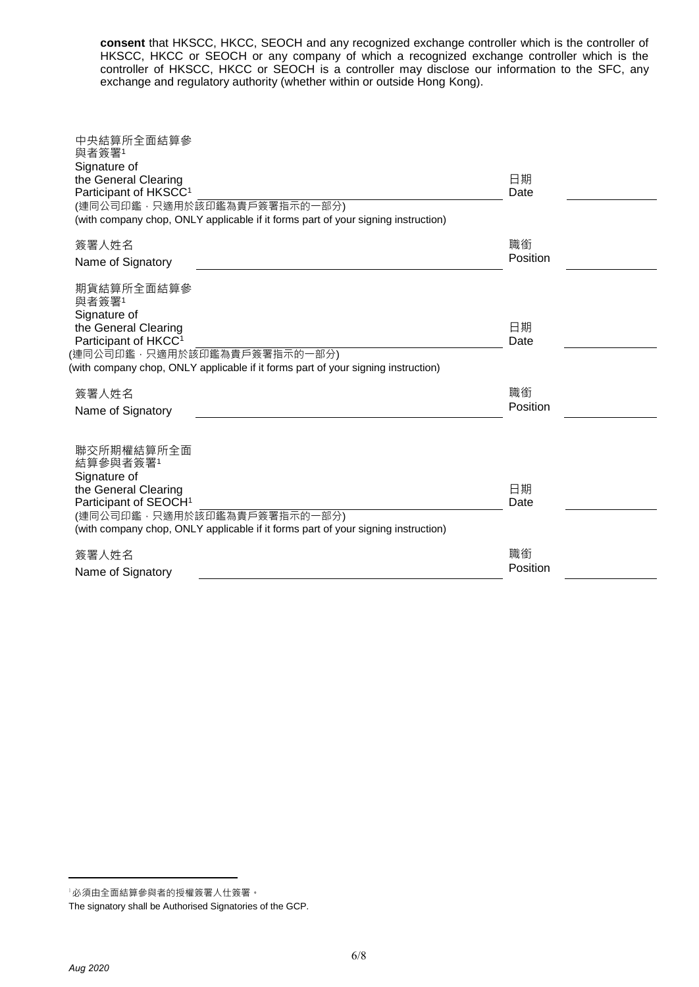**consent** that HKSCC, HKCC, SEOCH and any recognized exchange controller which is the controller of HKSCC, HKCC or SEOCH or any company of which a recognized exchange controller which is the controller of HKSCC, HKCC or SEOCH is a controller may disclose our information to the SFC, any exchange and regulatory authority (whether within or outside Hong Kong).

| 中央結算所全面結算參<br>與者簽署1                                                               |          |  |
|-----------------------------------------------------------------------------------|----------|--|
| Signature of                                                                      |          |  |
| the General Clearing                                                              | 日期       |  |
| Participant of HKSCC <sup>1</sup>                                                 | Date     |  |
| (連同公司印鑑,只適用於該印鑑為貴戶簽署指示的一部分)                                                       |          |  |
| (with company chop, ONLY applicable if it forms part of your signing instruction) |          |  |
| 簽署人姓名                                                                             | 職銜       |  |
| Name of Signatory                                                                 | Position |  |
|                                                                                   |          |  |
| 期貨結算所全面結算參                                                                        |          |  |
| 與者簽署1                                                                             |          |  |
| Signature of                                                                      |          |  |
| the General Clearing                                                              | 日期       |  |
| Participant of HKCC <sup>1</sup>                                                  | Date     |  |
| (連同公司印鑑,只適用於該印鑑為貴戶簽署指示的一部分)                                                       |          |  |
| (with company chop, ONLY applicable if it forms part of your signing instruction) |          |  |
| 簽署人姓名                                                                             | 職銜       |  |
|                                                                                   | Position |  |
| Name of Signatory                                                                 |          |  |
|                                                                                   |          |  |
| 聯交所期權結算所全面                                                                        |          |  |
| 結算參與者簽署1                                                                          |          |  |
| Signature of                                                                      |          |  |
| the General Clearing                                                              | 日期       |  |
| Participant of SEOCH <sup>1</sup>                                                 | Date     |  |
| (連同公司印鑑,只適用於該印鑑為貴戶簽署指示的一部分)                                                       |          |  |
| (with company chop, ONLY applicable if it forms part of your signing instruction) |          |  |
| 簽署人姓名                                                                             | 職銜       |  |
|                                                                                   | Position |  |
| Name of Signatory                                                                 |          |  |

 $\overline{a}$ 

<sup>1</sup>必須由全面結算參與者的授權簽署人仕簽署。

The signatory shall be Authorised Signatories of the GCP.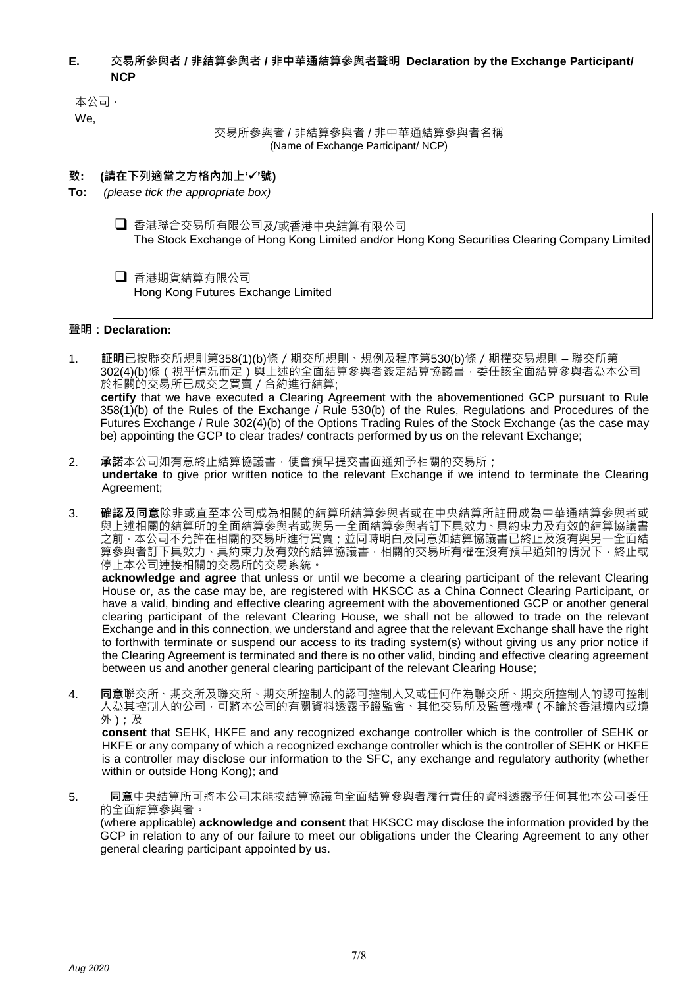### **E. 交易所參與者 / 非結算參與者 / 非中華通結算參與者聲明 Declaration by the Exchange Participant/ NCP**

本公司,

We,

交易所參與者 / 非結算參與者 / 非中華通結算參與者名稱 (Name of Exchange Participant/ NCP)

### **致: (請在下列適當之方格內加上''號)**

**To:** *(please tick the appropriate box)*

 香港聯合交易所有限公司及/或香港中央結算有限公司 The Stock Exchange of Hong Kong Limited and/or Hong Kong Securities Clearing Company Limited □ 香港期貨結算有限公司 Hong Kong Futures Exchange Limited

### **聲明:Declaration:**

- 1. **証明**已按聯交所規則第358(1)(b)條/期交所規則、規例及程序第530(b)條/期權交易規則 聯交所第 302(4)(b)條(視乎情況而定)與上述的全面結算參與者簽定結算協議書,委任該全面結算參與者為本公司 於相關的交易所已成交之買賣 / 合約進行結算;  **certify** that we have executed a Clearing Agreement with the abovementioned GCP pursuant to Rule 358(1)(b) of the Rules of the Exchange / Rule 530(b) of the Rules, Regulations and Procedures of the Futures Exchange / Rule 302(4)(b) of the Options Trading Rules of the Stock Exchange (as the case may be) appointing the GCP to clear trades/ contracts performed by us on the relevant Exchange;
- 2. **承諾**本公司如有意終止結算協議書,便會預早提交書面通知予相關的交易所; **undertake** to give prior written notice to the relevant Exchange if we intend to terminate the Clearing Agreement;
- 3. **確認及同意**除非或直至本公司成為相關的結算所結算參與者或在中央結算所註冊成為中華通結算參與者或 與上述相關的結算所的全面結算參與者或與另一全面結算參與者訂下具效力、具約束力及有效的結算協議書 之前 · 本公司不允許在相關的交易所進行買賣;並同時明白及同意如結算協議書已終止及沒有與另一全面結 算參與者訂下具效力、具約束力及有效的結算協議書,相關的交易所有權在沒有預早通知的情況下,終止或 停止本公司連接相關的交易所的交易系統。

**acknowledge and agree** that unless or until we become a clearing participant of the relevant Clearing House or, as the case may be, are registered with HKSCC as a China Connect Clearing Participant, or have a valid, binding and effective clearing agreement with the abovementioned GCP or another general clearing participant of the relevant Clearing House, we shall not be allowed to trade on the relevant Exchange and in this connection, we understand and agree that the relevant Exchange shall have the right to forthwith terminate or suspend our access to its trading system(s) without giving us any prior notice if the Clearing Agreement is terminated and there is no other valid, binding and effective clearing agreement between us and another general clearing participant of the relevant Clearing House;

4. **同意**聯交所、期交所及聯交所、期交所控制人的認可控制人又或任何作為聯交所、期交所控制人的認可控制 人為其控制人的公司,可將本公司的有關資料透露予證監會、其他交易所及監管機構 ( 不論於香港境內或境 外 );及

**consent** that SEHK, HKFE and any recognized exchange controller which is the controller of SEHK or HKFE or any company of which a recognized exchange controller which is the controller of SEHK or HKFE is a controller may disclose our information to the SFC, any exchange and regulatory authority (whether within or outside Hong Kong); and

5. **同意**中央結算所可將本公司未能按結算協議向全面結算參與者履行責任的資料透露予任何其他本公司委任 的全面結算參與者。

(where applicable) **acknowledge and consent** that HKSCC may disclose the information provided by the GCP in relation to any of our failure to meet our obligations under the Clearing Agreement to any other general clearing participant appointed by us.